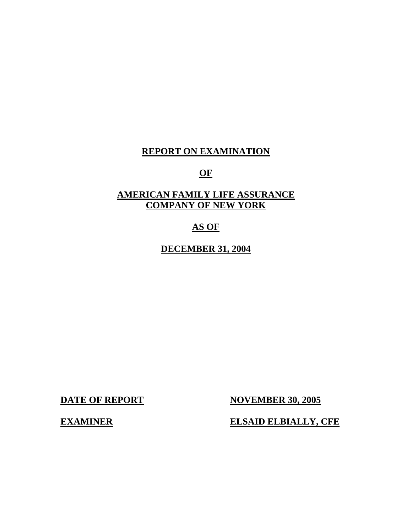## **REPORT ON EXAMINATION**

## **OF**

# **AMERICAN FAMILY LIFE ASSURANCE COMPANY OF NEW YORK**

# **AS OF**

**DECEMBER 31, 2004** 

**DATE OF REPORT NOVEMBER 30, 2005** 

**EXAMINER ELSAID ELBIALLY, CFE**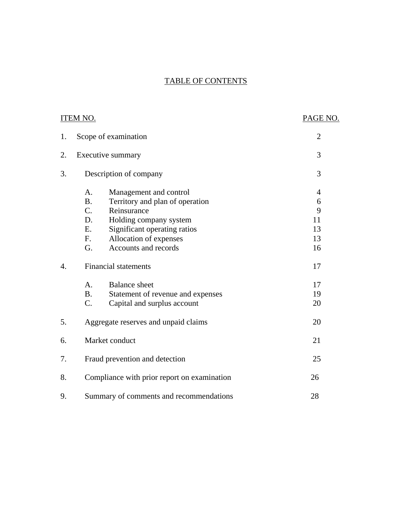# TABLE OF CONTENTS

|    | <b>ITEM NO.</b>                                                              | PAGE NO.            |  |
|----|------------------------------------------------------------------------------|---------------------|--|
| 1. | Scope of examination                                                         | $\overline{2}$      |  |
| 2. | Executive summary                                                            | 3                   |  |
| 3. | Description of company                                                       | 3                   |  |
|    | Management and control<br>A.<br><b>B.</b><br>Territory and plan of operation | $\overline{4}$<br>6 |  |
|    | $C_{\cdot}$<br>Reinsurance                                                   | 9                   |  |
|    | D.<br>Holding company system                                                 | 11                  |  |
|    | Significant operating ratios<br>E.                                           | 13                  |  |
|    | F.<br>Allocation of expenses                                                 | 13                  |  |
|    | Accounts and records<br>G.                                                   | 16                  |  |
| 4. | <b>Financial statements</b>                                                  | 17                  |  |
|    | A.<br><b>Balance</b> sheet                                                   | 17                  |  |
|    | <b>B.</b><br>Statement of revenue and expenses                               | 19                  |  |
|    | C.<br>Capital and surplus account                                            | 20                  |  |
| 5. | Aggregate reserves and unpaid claims                                         | 20                  |  |
| 6. | Market conduct                                                               | 21                  |  |
| 7. | Fraud prevention and detection                                               | 25                  |  |
| 8. | Compliance with prior report on examination                                  |                     |  |
| 9. | Summary of comments and recommendations                                      | 28                  |  |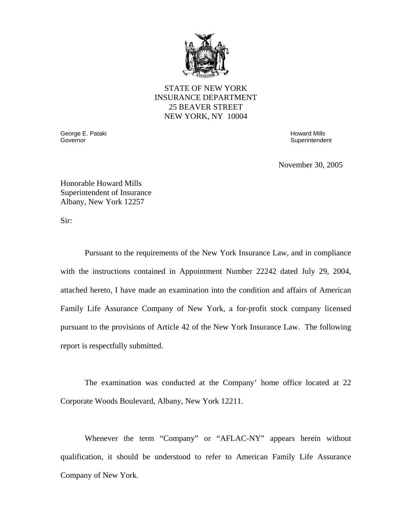

#### STATE OF NEW YORK INSURANCE DEPARTMENT 25 BEAVER STREET NEW YORK, NY 10004

Governor George E. Pataki Governor Howard Mills

**Superintendent** 

November 30, 2005

Honorable Howard Mills Superintendent of Insurance Albany, New York 12257

Sir:

Pursuant to the requirements of the New York Insurance Law, and in compliance with the instructions contained in Appointment Number 22242 dated July 29, 2004, attached hereto, I have made an examination into the condition and affairs of American Family Life Assurance Company of New York, a for-profit stock company licensed pursuant to the provisions of Article 42 of the New York Insurance Law. The following report is respectfully submitted.

The examination was conducted at the Company' home office located at 22 Corporate Woods Boulevard, Albany, New York 12211.

Whenever the term "Company" or "AFLAC-NY" appears herein without qualification, it should be understood to refer to American Family Life Assurance Company of New York.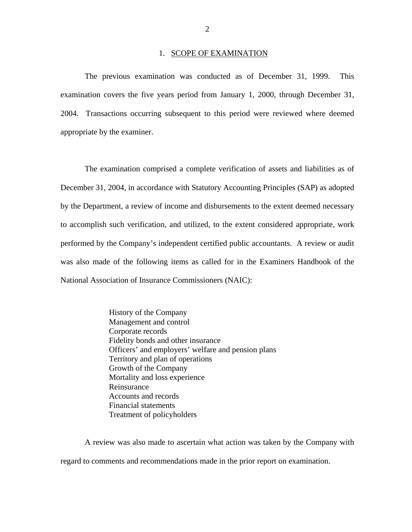#### 1. SCOPE OF EXAMINATION

<span id="page-3-0"></span>The previous examination was conducted as of December 31, 1999. This examination covers the five years period from January 1, 2000, through December 31, 2004. Transactions occurring subsequent to this period were reviewed where deemed appropriate by the examiner.

The examination comprised a complete verification of assets and liabilities as of December 31, 2004, in accordance with Statutory Accounting Principles (SAP) as adopted by the Department, a review of income and disbursements to the extent deemed necessary to accomplish such verification, and utilized, to the extent considered appropriate, work performed by the Company's independent certified public accountants. A review or audit was also made of the following items as called for in the Examiners Handbook of the National Association of Insurance Commissioners (NAIC):

> History of the Company Management and control Corporate records Fidelity bonds and other insurance Officers' and employers' welfare and pension plans Territory and plan of operations Growth of the Company Mortality and loss experience Reinsurance Accounts and records Financial statements Treatment of policyholders

A review was also made to ascertain what action was taken by the Company with regard to comments and recommendations made in the prior report on examination.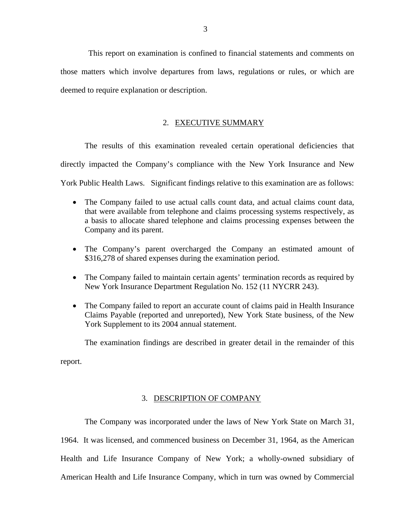<span id="page-4-0"></span>This report on examination is confined to financial statements and comments on those matters which involve departures from laws, regulations or rules, or which are deemed to require explanation or description.

#### 2. EXECUTIVE SUMMARY

The results of this examination revealed certain operational deficiencies that directly impacted the Company's compliance with the New York Insurance and New York Public Health Laws. Significant findings relative to this examination are as follows:

- The Company failed to use actual calls count data, and actual claims count data, that were available from telephone and claims processing systems respectively, as a basis to allocate shared telephone and claims processing expenses between the Company and its parent.
- The Company's parent overcharged the Company an estimated amount of \$316,278 of shared expenses during the examination period.
- The Company failed to maintain certain agents' termination records as required by New York Insurance Department Regulation No. 152 (11 NYCRR 243).
- The Company failed to report an accurate count of claims paid in Health Insurance Claims Payable (reported and unreported), New York State business, of the New York Supplement to its 2004 annual statement.

The examination findings are described in greater detail in the remainder of this report.

#### 3. DESCRIPTION OF COMPANY

The Company was incorporated under the laws of New York State on March 31, 1964. It was licensed, and commenced business on December 31, 1964, as the American Health and Life Insurance Company of New York; a wholly-owned subsidiary of American Health and Life Insurance Company, which in turn was owned by Commercial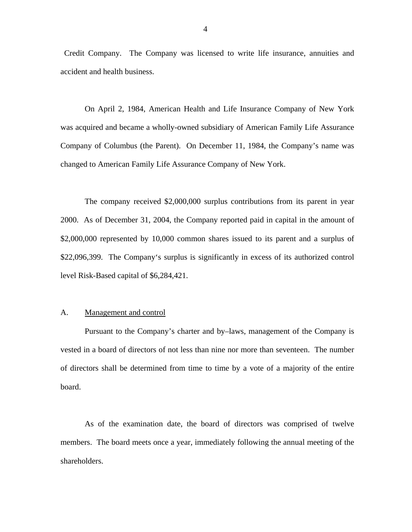<span id="page-5-0"></span>Credit Company. The Company was licensed to write life insurance, annuities and accident and health business.

On April 2, 1984, American Health and Life Insurance Company of New York was acquired and became a wholly-owned subsidiary of American Family Life Assurance Company of Columbus (the Parent). On December 11, 1984, the Company's name was changed to American Family Life Assurance Company of New York.

The company received \$2,000,000 surplus contributions from its parent in year 2000. As of December 31, 2004, the Company reported paid in capital in the amount of \$2,000,000 represented by 10,000 common shares issued to its parent and a surplus of \$22,096,399. The Company's surplus is significantly in excess of its authorized control level Risk-Based capital of \$6,284,421.

#### A. Management and control

Pursuant to the Company's charter and by–laws, management of the Company is vested in a board of directors of not less than nine nor more than seventeen. The number of directors shall be determined from time to time by a vote of a majority of the entire board.

As of the examination date, the board of directors was comprised of twelve members. The board meets once a year, immediately following the annual meeting of the shareholders.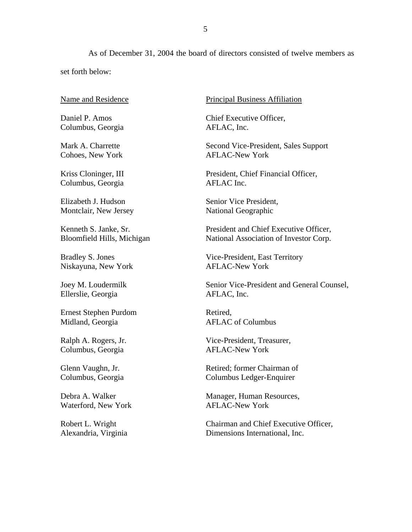As of December 31, 2004 the board of directors consisted of twelve members as set forth below:

Name and Residence

Daniel P. Amos Columbus, Georgia

Mark A. Charrette Cohoes, New York

Kriss Cloninger, III Columbus, Georgia

Elizabeth J. Hudson Montclair, New Jersey

Kenneth S. Janke, Sr. Bloomfield Hills, Michigan

Bradley S. Jones Niskayuna, New York

Joey M. Loudermilk Ellerslie, Georgia

Ernest Stephen Purdom Midland, Georgia

Ralph A. Rogers, Jr. Columbus, Georgia

Glenn Vaughn, Jr. Columbus, Georgia

Debra A. Walker Waterford, New York

Robert L. Wright Alexandria, Virginia Principal Business Affiliation

Chief Executive Officer, AFLAC, Inc.

Second Vice-President, Sales Support AFLAC-New York

President, Chief Financial Officer, AFLAC Inc.

Senior Vice President, National Geographic

President and Chief Executive Officer, National Association of Investor Corp.

Vice-President, East Territory AFLAC-New York

Senior Vice-President and General Counsel, AFLAC, Inc.

Retired, AFLAC of Columbus

Vice-President, Treasurer, AFLAC-New York

Retired; former Chairman of Columbus Ledger-Enquirer

Manager, Human Resources, AFLAC-New York

Chairman and Chief Executive Officer, Dimensions International, Inc.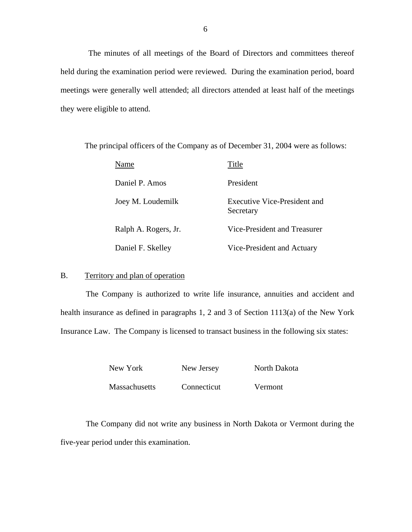<span id="page-7-0"></span>The minutes of all meetings of the Board of Directors and committees thereof held during the examination period were reviewed. During the examination period, board meetings were generally well attended; all directors attended at least half of the meetings they were eligible to attend.

The principal officers of the Company as of December 31, 2004 were as follows:

| Name                 | Title                                     |
|----------------------|-------------------------------------------|
| Daniel P. Amos       | President                                 |
| Joey M. Loudemilk    | Executive Vice-President and<br>Secretary |
| Ralph A. Rogers, Jr. | Vice-President and Treasurer              |
| Daniel F. Skelley    | Vice-President and Actuary                |

#### B. Territory and plan of operation

The Company is authorized to write life insurance, annuities and accident and health insurance as defined in paragraphs 1, 2 and 3 of Section 1113(a) of the New York Insurance Law. The Company is licensed to transact business in the following six states:

| New York             | New Jersey  | North Dakota   |
|----------------------|-------------|----------------|
| <b>Massachusetts</b> | Connecticut | <b>Vermont</b> |

The Company did not write any business in North Dakota or Vermont during the five-year period under this examination.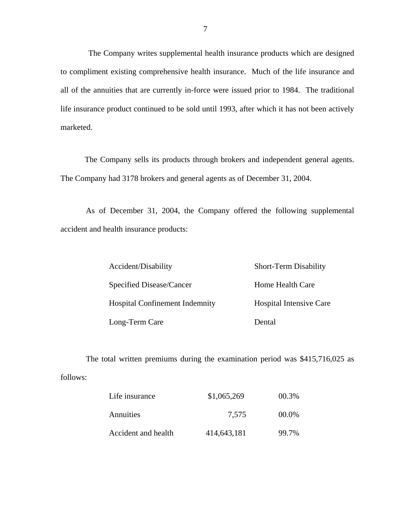The Company writes supplemental health insurance products which are designed to compliment existing comprehensive health insurance. Much of the life insurance and all of the annuities that are currently in-force were issued prior to 1984. The traditional life insurance product continued to be sold until 1993, after which it has not been actively marketed.

The Company sells its products through brokers and independent general agents. The Company had 3178 brokers and general agents as of December 31, 2004.

As of December 31, 2004, the Company offered the following supplemental accident and health insurance products:

| Accident/Disability                   | <b>Short-Term Disability</b>   |
|---------------------------------------|--------------------------------|
| Specified Disease/Cancer              | Home Health Care               |
| <b>Hospital Confinement Indemnity</b> | <b>Hospital Intensive Care</b> |
| Long-Term Care                        | Dental                         |

The total written premiums during the examination period was \$415,716,025 as follows:

| Life insurance      | \$1,065,269 | 00.3% |  |
|---------------------|-------------|-------|--|
| Annuities           | 7.575       | 00.0% |  |
| Accident and health | 414,643,181 | 99.7% |  |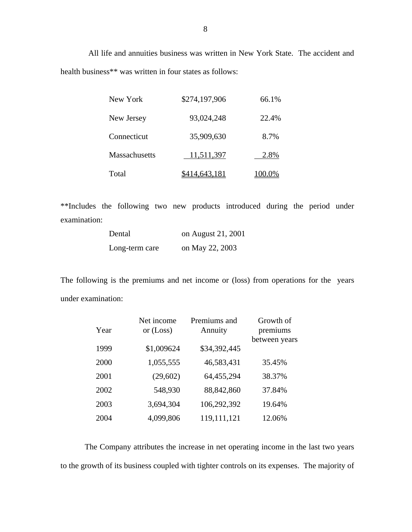All life and annuities business was written in New York State. The accident and health business\*\* was written in four states as follows:

| New York      | \$274,197,906        | 66.1%  |
|---------------|----------------------|--------|
| New Jersey    | 93,024,248           | 22.4%  |
| Connecticut   | 35,909,630           | 8.7%   |
| Massachusetts | 11,511,397           | 2.8%   |
| Total         | <u>\$414,643,181</u> | 100.0% |

\*\*Includes the following two new products introduced during the period under examination:

| Dental         | on August 21, 2001 |
|----------------|--------------------|
| Long-term care | on May 22, 2003    |

The following is the premiums and net income or (loss) from operations for the years under examination:

|      | Net income | Premiums and | Growth of     |
|------|------------|--------------|---------------|
| Year | or (Loss)  | Annuity      | premiums      |
|      |            |              | between years |
| 1999 | \$1,009624 | \$34,392,445 |               |
| 2000 | 1,055,555  | 46,583,431   | 35.45%        |
| 2001 | (29,602)   | 64,455,294   | 38.37%        |
| 2002 | 548,930    | 88, 842, 860 | 37.84%        |
| 2003 | 3,694,304  | 106,292,392  | 19.64%        |
| 2004 | 4,099,806  | 119,111,121  | 12.06%        |

The Company attributes the increase in net operating income in the last two years to the growth of its business coupled with tighter controls on its expenses. The majority of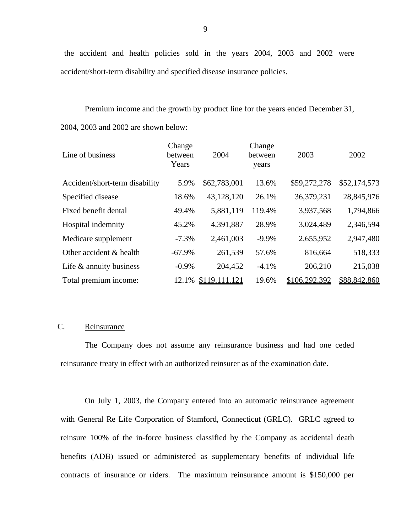the accident and health policies sold in the years 2004, 2003 and 2002 were accident/short-term disability and specified disease insurance policies.

Premium income and the growth by product line for the years ended December 31, 2004, 2003 and 2002 are shown below:

| Line of business               | Change<br>between<br>Years | 2004          | Change<br>between<br>years | 2003          | 2002         |
|--------------------------------|----------------------------|---------------|----------------------------|---------------|--------------|
| Accident/short-term disability | 5.9%                       | \$62,783,001  | 13.6%                      | \$59,272,278  | \$52,174,573 |
| Specified disease              | 18.6%                      | 43,128,120    | 26.1%                      | 36,379,231    | 28,845,976   |
| Fixed benefit dental           | 49.4%                      | 5,881,119     | 119.4%                     | 3,937,568     | 1,794,866    |
| Hospital indemnity             | 45.2%                      | 4,391,887     | 28.9%                      | 3,024,489     | 2,346,594    |
| Medicare supplement            | $-7.3%$                    | 2,461,003     | $-9.9%$                    | 2,655,952     | 2,947,480    |
| Other accident & health        | $-67.9%$                   | 261,539       | 57.6%                      | 816,664       | 518,333      |
| Life $\&$ annuity business     | $-0.9%$                    | 204,452       | $-4.1%$                    | 206,210       | 215,038      |
| Total premium income:          | 12.1%                      | \$119,111,121 | 19.6%                      | \$106,292,392 | \$88,842,860 |

#### C. Reinsurance

The Company does not assume any reinsurance business and had one ceded reinsurance treaty in effect with an authorized reinsurer as of the examination date.

On July 1, 2003, the Company entered into an automatic reinsurance agreement with General Re Life Corporation of Stamford, Connecticut (GRLC). GRLC agreed to reinsure 100% of the in-force business classified by the Company as accidental death benefits (ADB) issued or administered as supplementary benefits of individual life contracts of insurance or riders. The maximum reinsurance amount is \$150,000 per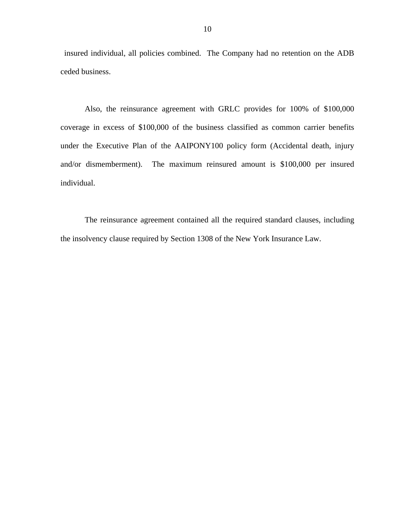insured individual, all policies combined. The Company had no retention on the ADB ceded business.

Also, the reinsurance agreement with GRLC provides for 100% of \$100,000 coverage in excess of \$100,000 of the business classified as common carrier benefits under the Executive Plan of the AAIPONY100 policy form (Accidental death, injury and/or dismemberment). The maximum reinsured amount is \$100,000 per insured individual.

The reinsurance agreement contained all the required standard clauses, including the insolvency clause required by Section 1308 of the New York Insurance Law.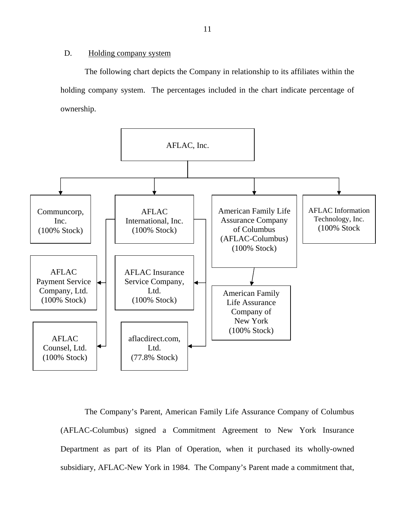#### <span id="page-12-0"></span>D. Holding company system

The following chart depicts the Company in relationship to its affiliates within the holding company system. The percentages included in the chart indicate percentage of ownership.



The Company's Parent, American Family Life Assurance Company of Columbus (AFLAC-Columbus) signed a Commitment Agreement to New York Insurance Department as part of its Plan of Operation, when it purchased its wholly-owned subsidiary, AFLAC-New York in 1984. The Company's Parent made a commitment that,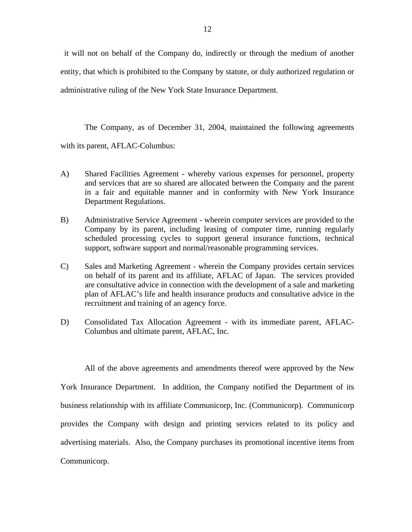it will not on behalf of the Company do, indirectly or through the medium of another entity, that which is prohibited to the Company by statute, or duly authorized regulation or administrative ruling of the New York State Insurance Department.

The Company, as of December 31, 2004, maintained the following agreements with its parent, AFLAC-Columbus:

- A) Shared Facilities Agreement whereby various expenses for personnel, property and services that are so shared are allocated between the Company and the parent in a fair and equitable manner and in conformity with New York Insurance Department Regulations.
- B) Administrative Service Agreement wherein computer services are provided to the Company by its parent, including leasing of computer time, running regularly scheduled processing cycles to support general insurance functions, technical support, software support and normal/reasonable programming services.
- C) Sales and Marketing Agreement wherein the Company provides certain services on behalf of its parent and its affiliate, AFLAC of Japan. The services provided are consultative advice in connection with the development of a sale and marketing plan of AFLAC's life and health insurance products and consultative advice in the recruitment and training of an agency force.
- D) Consolidated Tax Allocation Agreement with its immediate parent, AFLAC-Columbus and ultimate parent, AFLAC, Inc.

All of the above agreements and amendments thereof were approved by the New York Insurance Department. In addition, the Company notified the Department of its business relationship with its affiliate Communicorp, Inc. (Communicorp). Communicorp provides the Company with design and printing services related to its policy and advertising materials. Also, the Company purchases its promotional incentive items from Communicorp.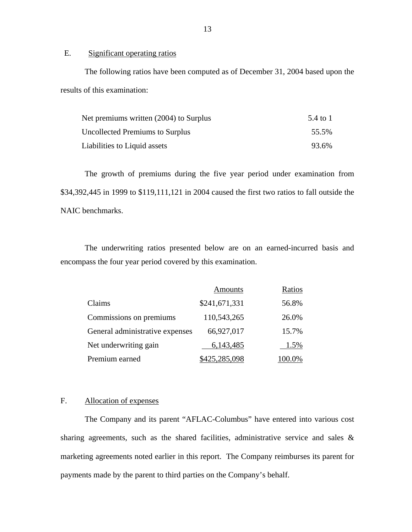E. Significant operating ratios

The following ratios have been computed as of December 31, 2004 based upon the results of this examination:

| Net premiums written (2004) to Surplus | 5.4 to 1 |
|----------------------------------------|----------|
| <b>Uncollected Premiums to Surplus</b> | 55.5%    |
| Liabilities to Liquid assets           | 93.6%    |

The growth of premiums during the five year period under examination from \$34,392,445 in 1999 to \$119,111,121 in 2004 caused the first two ratios to fall outside the NAIC benchmarks.

The underwriting ratios presented below are on an earned-incurred basis and encompass the four year period covered by this examination.

|                                 | Amounts       | Ratios |
|---------------------------------|---------------|--------|
| Claims                          | \$241,671,331 | 56.8%  |
| Commissions on premiums         | 110,543,265   | 26.0%  |
| General administrative expenses | 66,927,017    | 15.7%  |
| Net underwriting gain           | 6,143,485     | 1.5%   |
| Premium earned                  | \$425,285,098 | 100.0% |

#### F. Allocation of expenses

The Company and its parent "AFLAC-Columbus" have entered into various cost sharing agreements, such as the shared facilities, administrative service and sales & marketing agreements noted earlier in this report. The Company reimburses its parent for payments made by the parent to third parties on the Company's behalf.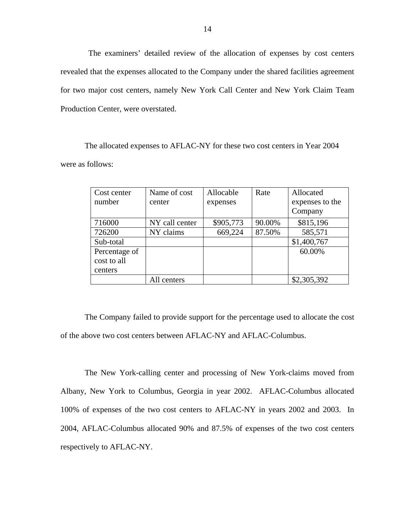The examiners' detailed review of the allocation of expenses by cost centers revealed that the expenses allocated to the Company under the shared facilities agreement for two major cost centers, namely New York Call Center and New York Claim Team Production Center, were overstated.

The allocated expenses to AFLAC-NY for these two cost centers in Year 2004 were as follows:

| Cost center   | Name of cost   | Allocable | Rate   | Allocated       |
|---------------|----------------|-----------|--------|-----------------|
| number        | center         | expenses  |        | expenses to the |
|               |                |           |        | Company         |
| 716000        | NY call center | \$905,773 | 90.00% | \$815,196       |
| 726200        | NY claims      | 669,224   | 87.50% | 585,571         |
| Sub-total     |                |           |        | \$1,400,767     |
| Percentage of |                |           |        | 60.00%          |
| cost to all   |                |           |        |                 |
| centers       |                |           |        |                 |
|               | All centers    |           |        | \$2,305,392     |

The Company failed to provide support for the percentage used to allocate the cost of the above two cost centers between AFLAC-NY and AFLAC-Columbus.

The New York-calling center and processing of New York-claims moved from Albany, New York to Columbus, Georgia in year 2002. AFLAC-Columbus allocated 100% of expenses of the two cost centers to AFLAC-NY in years 2002 and 2003. In 2004, AFLAC-Columbus allocated 90% and 87.5% of expenses of the two cost centers respectively to AFLAC-NY.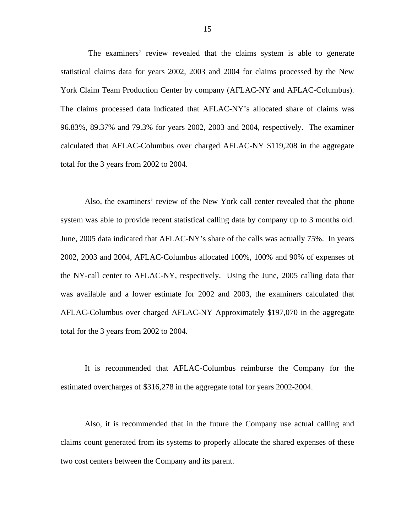The examiners' review revealed that the claims system is able to generate statistical claims data for years 2002, 2003 and 2004 for claims processed by the New York Claim Team Production Center by company (AFLAC-NY and AFLAC-Columbus). The claims processed data indicated that AFLAC-NY's allocated share of claims was 96.83%, 89.37% and 79.3% for years 2002, 2003 and 2004, respectively. The examiner calculated that AFLAC-Columbus over charged AFLAC-NY \$119,208 in the aggregate total for the 3 years from 2002 to 2004.

system was able to provide recent statistical calling data by company up to 3 months old. Also, the examiners' review of the New York call center revealed that the phone June, 2005 data indicated that AFLAC-NY's share of the calls was actually 75%. In years 2002, 2003 and 2004, AFLAC-Columbus allocated 100%, 100% and 90% of expenses of the NY-call center to AFLAC-NY, respectively. Using the June, 2005 calling data that was available and a lower estimate for 2002 and 2003, the examiners calculated that AFLAC-Columbus over charged AFLAC-NY Approximately \$197,070 in the aggregate total for the 3 years from 2002 to 2004.

It is recommended that AFLAC-Columbus reimburse the Company for the estimated overcharges of \$316,278 in the aggregate total for years 2002-2004.

Also, it is recommended that in the future the Company use actual calling and claims count generated from its systems to properly allocate the shared expenses of these two cost centers between the Company and its parent.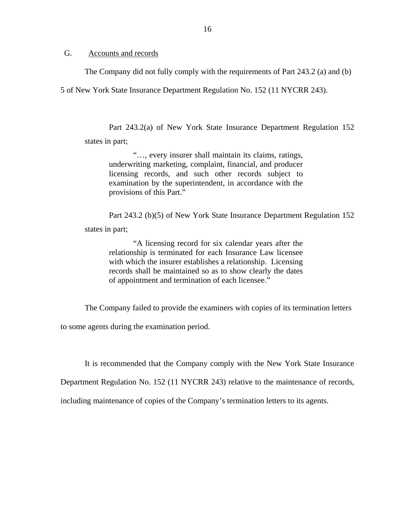<span id="page-17-0"></span>G. Accounts and records

The Company did not fully comply with the requirements of Part 243.2 (a) and (b)

5 of New York State Insurance Department Regulation No. 152 (11 NYCRR 243).

Part 243.2(a) of New York State Insurance Department Regulation 152 states in part;

"…, every insurer shall maintain its claims, ratings, underwriting marketing, complaint, financial, and producer licensing records, and such other records subject to examination by the superintendent, in accordance with the provisions of this Part."

Part 243.2 (b)(5) of New York State Insurance Department Regulation 152 states in part;

"A licensing record for six calendar years after the relationship is terminated for each Insurance Law licensee with which the insurer establishes a relationship. Licensing records shall be maintained so as to show clearly the dates of appointment and termination of each licensee."

The Company failed to provide the examiners with copies of its termination letters

to some agents during the examination period.

It is recommended that the Company comply with the New York State Insurance

Department Regulation No. 152 (11 NYCRR 243) relative to the maintenance of records,

including maintenance of copies of the Company's termination letters to its agents.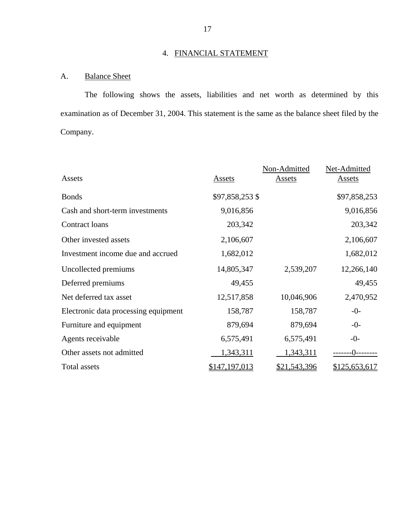# 4. FINANCIAL STATEMENT

# A. Balance Sheet

The following shows the assets, liabilities and net worth as determined by this examination as of December 31, 2004. This statement is the same as the balance sheet filed by the Company.

|                                      |                 | Non-Admitted | Net-Admitted  |
|--------------------------------------|-----------------|--------------|---------------|
| Assets                               | Assets          | Assets       | Assets        |
| <b>Bonds</b>                         | \$97,858,253 \$ |              | \$97,858,253  |
| Cash and short-term investments      | 9,016,856       |              | 9,016,856     |
| Contract loans                       | 203,342         |              | 203,342       |
| Other invested assets                | 2,106,607       |              | 2,106,607     |
| Investment income due and accrued    | 1,682,012       |              | 1,682,012     |
| Uncollected premiums                 | 14,805,347      | 2,539,207    | 12,266,140    |
| Deferred premiums                    | 49,455          |              | 49,455        |
| Net deferred tax asset               | 12,517,858      | 10,046,906   | 2,470,952     |
| Electronic data processing equipment | 158,787         | 158,787      | $-0-$         |
| Furniture and equipment              | 879,694         | 879,694      | $-0-$         |
| Agents receivable                    | 6,575,491       | 6,575,491    | $-0-$         |
| Other assets not admitted            | 1,343,311       | 1,343,311    | -ብ--          |
| Total assets                         | \$147,197,013   | \$21,543,396 | \$125,653,617 |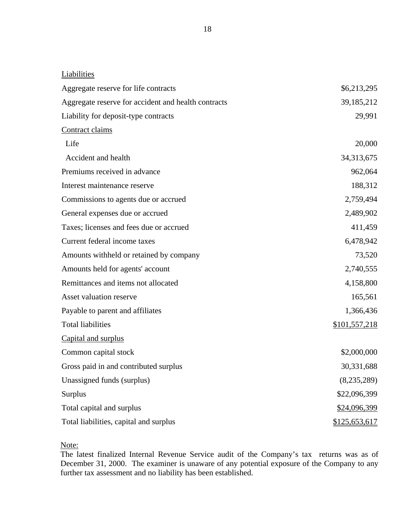| Liabilities                                         |               |
|-----------------------------------------------------|---------------|
| Aggregate reserve for life contracts                | \$6,213,295   |
| Aggregate reserve for accident and health contracts | 39,185,212    |
| Liability for deposit-type contracts                | 29,991        |
| Contract claims                                     |               |
| Life                                                | 20,000        |
| Accident and health                                 | 34,313,675    |
| Premiums received in advance                        | 962,064       |
| Interest maintenance reserve                        | 188,312       |
| Commissions to agents due or accrued                | 2,759,494     |
| General expenses due or accrued                     | 2,489,902     |
| Taxes; licenses and fees due or accrued             | 411,459       |
| Current federal income taxes                        | 6,478,942     |
| Amounts withheld or retained by company             | 73,520        |
| Amounts held for agents' account                    | 2,740,555     |
| Remittances and items not allocated                 | 4,158,800     |
| Asset valuation reserve                             | 165,561       |
| Payable to parent and affiliates                    | 1,366,436     |
| <b>Total liabilities</b>                            | \$101,557,218 |
| Capital and surplus                                 |               |
| Common capital stock                                | \$2,000,000   |
| Gross paid in and contributed surplus               | 30,331,688    |
| Unassigned funds (surplus)                          | (8, 235, 289) |

Total liabilities, capital and surplus  $$125,653,617$ 

Note:

The latest finalized Internal Revenue Service audit of the Company's tax returns was as of December 31, 2000. The examiner is unaware of any potential exposure of the Company to any further tax assessment and no liability has been established.

Surplus \$22,096,399

Total capital and surplus  $$24,096,399$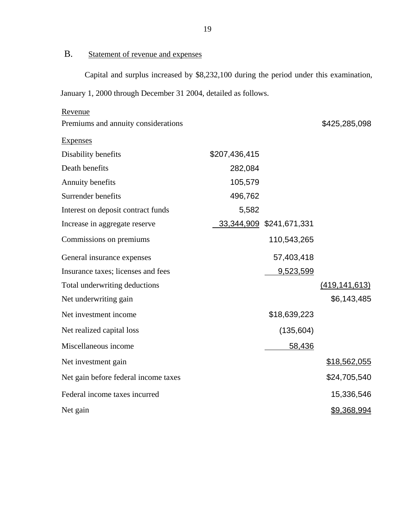# B. Statement of revenue and expenses

Capital and surplus increased by \$8,232,100 during the period under this examination, January 1, 2000 through December 31 2004, detailed as follows.

| Revenue                              |               |                          |                      |
|--------------------------------------|---------------|--------------------------|----------------------|
| Premiums and annuity considerations  |               |                          | \$425,285,098        |
| <b>Expenses</b>                      |               |                          |                      |
| Disability benefits                  | \$207,436,415 |                          |                      |
| Death benefits                       | 282,084       |                          |                      |
| Annuity benefits                     | 105,579       |                          |                      |
| Surrender benefits                   | 496,762       |                          |                      |
| Interest on deposit contract funds   | 5,582         |                          |                      |
| Increase in aggregate reserve        |               | 33,344,909 \$241,671,331 |                      |
| Commissions on premiums              |               | 110,543,265              |                      |
| General insurance expenses           |               | 57,403,418               |                      |
| Insurance taxes; licenses and fees   |               | 9,523,599                |                      |
| Total underwriting deductions        |               |                          | <u>(419,141,613)</u> |
| Net underwriting gain                |               |                          | \$6,143,485          |
| Net investment income                |               | \$18,639,223             |                      |
| Net realized capital loss            |               | (135, 604)               |                      |
| Miscellaneous income                 |               | 58,436                   |                      |
| Net investment gain                  |               |                          | \$18,562,055         |
| Net gain before federal income taxes |               |                          | \$24,705,540         |
| Federal income taxes incurred        |               |                          | 15,336,546           |
| Net gain                             |               |                          | \$9,368,994          |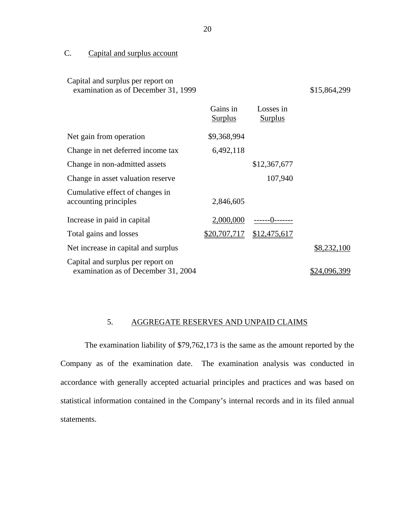## C. Capital and surplus account

Capital and surplus per report on

| examination as of December 31, 1999                                      |                            | \$15,864,299                |              |
|--------------------------------------------------------------------------|----------------------------|-----------------------------|--------------|
|                                                                          | Gains in<br><u>Surplus</u> | Losses in<br><b>Surplus</b> |              |
| Net gain from operation                                                  | \$9,368,994                |                             |              |
| Change in net deferred income tax                                        | 6,492,118                  |                             |              |
| Change in non-admitted assets                                            |                            | \$12,367,677                |              |
| Change in asset valuation reserve                                        |                            | 107,940                     |              |
| Cumulative effect of changes in<br>accounting principles                 | 2,846,605                  |                             |              |
| Increase in paid in capital                                              | 2,000,000                  | -------()--------           |              |
| Total gains and losses                                                   | \$20,707,717               | \$12,475,617                |              |
| Net increase in capital and surplus                                      |                            |                             | \$8,232,100  |
| Capital and surplus per report on<br>examination as of December 31, 2004 |                            |                             | \$24,096,399 |

#### 5. AGGREGATE RESERVES AND UNPAID CLAIMS

The examination liability of \$79,762,173 is the same as the amount reported by the Company as of the examination date. The examination analysis was conducted in accordance with generally accepted actuarial principles and practices and was based on statistical information contained in the Company's internal records and in its filed annual statements.

20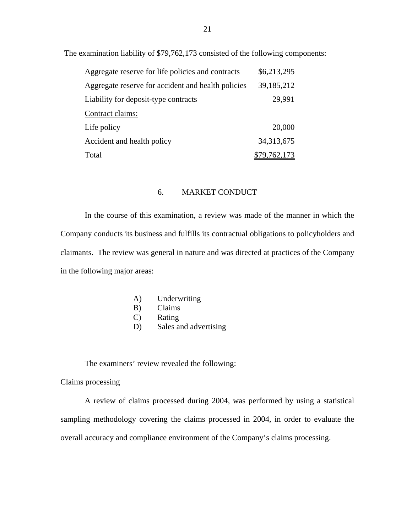The examination liability of \$79,762,173 consisted of the following components:

| Aggregate reserve for life policies and contracts  | \$6,213,295  |
|----------------------------------------------------|--------------|
| Aggregate reserve for accident and health policies | 39, 185, 212 |
| Liability for deposit-type contracts               | 29,991       |
| Contract claims:                                   |              |
| Life policy                                        | 20,000       |
| Accident and health policy                         | 34, 313, 675 |
| Total                                              | \$79,762,173 |

#### 6. MARKET CONDUCT

In the course of this examination, a review was made of the manner in which the Company conducts its business and fulfills its contractual obligations to policyholders and claimants. The review was general in nature and was directed at practices of the Company in the following major areas:

- A) Underwriting
- B) Claims
- C) Rating
- D) Sales and advertising

The examiners' review revealed the following:

#### Claims processing

A review of claims processed during 2004, was performed by using a statistical sampling methodology covering the claims processed in 2004, in order to evaluate the overall accuracy and compliance environment of the Company's claims processing.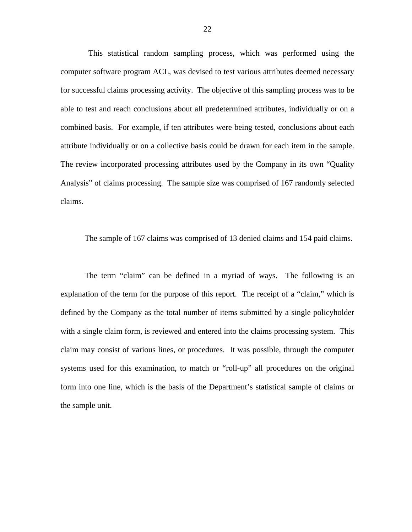This statistical random sampling process, which was performed using the computer software program ACL, was devised to test various attributes deemed necessary for successful claims processing activity. The objective of this sampling process was to be able to test and reach conclusions about all predetermined attributes, individually or on a combined basis. For example, if ten attributes were being tested, conclusions about each attribute individually or on a collective basis could be drawn for each item in the sample. The review incorporated processing attributes used by the Company in its own "Quality Analysis" of claims processing. The sample size was comprised of 167 randomly selected claims.

The sample of 167 claims was comprised of 13 denied claims and 154 paid claims.

The term "claim" can be defined in a myriad of ways. The following is an explanation of the term for the purpose of this report. The receipt of a "claim," which is defined by the Company as the total number of items submitted by a single policyholder with a single claim form, is reviewed and entered into the claims processing system. This claim may consist of various lines, or procedures. It was possible, through the computer systems used for this examination, to match or "roll-up" all procedures on the original form into one line, which is the basis of the Department's statistical sample of claims or the sample unit.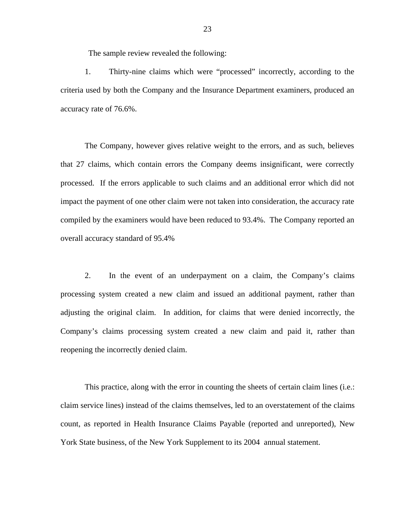The sample review revealed the following:

1. Thirty-nine claims which were "processed" incorrectly, according to the criteria used by both the Company and the Insurance Department examiners, produced an accuracy rate of 76.6%.

The Company, however gives relative weight to the errors, and as such, believes that 27 claims, which contain errors the Company deems insignificant, were correctly processed. If the errors applicable to such claims and an additional error which did not impact the payment of one other claim were not taken into consideration, the accuracy rate compiled by the examiners would have been reduced to 93.4%. The Company reported an overall accuracy standard of 95.4%

2. In the event of an underpayment on a claim, the Company's claims processing system created a new claim and issued an additional payment, rather than adjusting the original claim. In addition, for claims that were denied incorrectly, the Company's claims processing system created a new claim and paid it, rather than reopening the incorrectly denied claim.

This practice, along with the error in counting the sheets of certain claim lines (i.e.: claim service lines) instead of the claims themselves, led to an overstatement of the claims count, as reported in Health Insurance Claims Payable (reported and unreported), New York State business, of the New York Supplement to its 2004 annual statement.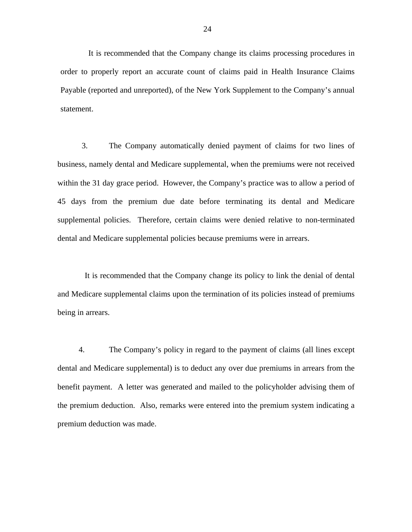It is recommended that the Company change its claims processing procedures in order to properly report an accurate count of claims paid in Health Insurance Claims Payable (reported and unreported), of the New York Supplement to the Company's annual statement.

3. The Company automatically denied payment of claims for two lines of business, namely dental and Medicare supplemental, when the premiums were not received within the 31 day grace period. However, the Company's practice was to allow a period of 45 days from the premium due date before terminating its dental and Medicare supplemental policies. Therefore, certain claims were denied relative to non-terminated dental and Medicare supplemental policies because premiums were in arrears.

It is recommended that the Company change its policy to link the denial of dental and Medicare supplemental claims upon the termination of its policies instead of premiums being in arrears.

4. The Company's policy in regard to the payment of claims (all lines except dental and Medicare supplemental) is to deduct any over due premiums in arrears from the benefit payment. A letter was generated and mailed to the policyholder advising them of the premium deduction. Also, remarks were entered into the premium system indicating a premium deduction was made.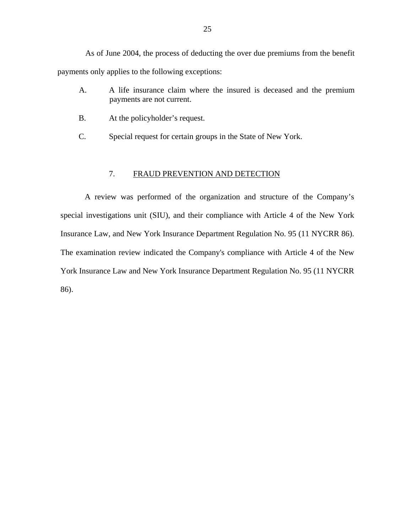<span id="page-26-0"></span>As of June 2004, the process of deducting the over due premiums from the benefit payments only applies to the following exceptions:

- A. A life insurance claim where the insured is deceased and the premium payments are not current.
- B. At the policyholder's request.
- C. Special request for certain groups in the State of New York.

#### 7. FRAUD PREVENTION AND DETECTION

A review was performed of the organization and structure of the Company's special investigations unit (SIU), and their compliance with Article 4 of the New York Insurance Law, and New York Insurance Department Regulation No. 95 (11 NYCRR 86). The examination review indicated the Company's compliance with Article 4 of the New York Insurance Law and New York Insurance Department Regulation No. 95 (11 NYCRR 86).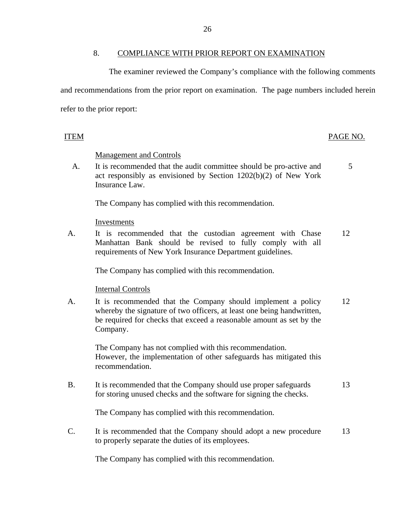#### 8. COMPLIANCE WITH PRIOR REPORT ON EXAMINATION

<span id="page-27-0"></span>The examiner reviewed the Company's compliance with the following comments and recommendations from the prior report on examination. The page numbers included herein refer to the prior report:

#### **ITEM**

#### PAGE NO.

#### **Management and Controls**

A. It is recommended that the audit committee should be pro-active and 5 act responsibly as envisioned by Section 1202(b)(2) of New York Insurance Law.

The Company has complied with this recommendation.

Investments

A. It is recommended that the custodian agreement with Chase 12 Manhattan Bank should be revised to fully comply with all requirements of New York Insurance Department guidelines.

The Company has complied with this recommendation.

**Internal Controls** 

A. It is recommended that the Company should implement a policy 12 whereby the signature of two officers, at least one being handwritten, be required for checks that exceed a reasonable amount as set by the Company.

The Company has not complied with this recommendation. However, the implementation of other safeguards has mitigated this recommendation.

B. It is recommended that the Company should use proper safeguards 13 for storing unused checks and the software for signing the checks.

The Company has complied with this recommendation.

C. It is recommended that the Company should adopt a new procedure 13 to properly separate the duties of its employees.

The Company has complied with this recommendation.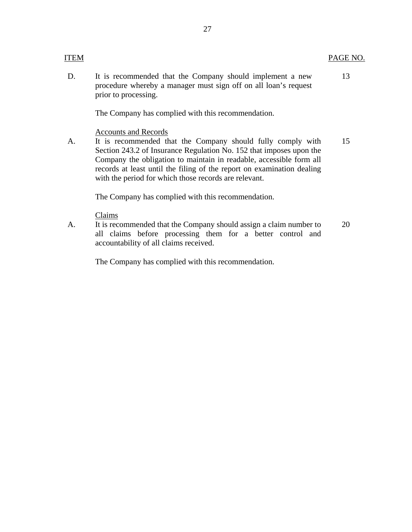#### **ITEM**

D. It is recommended that the Company should implement a new procedure whereby a manager must sign off on all loan's request prior to processing. 13

The Company has complied with this recommendation.

**Accounts and Records** 

A. It is recommended that the Company should fully comply with Section 243.2 of Insurance Regulation No. 152 that imposes upon the Company the obligation to maintain in readable, accessible form all records at least until the filing of the report on examination dealing with the period for which those records are relevant. 15

The Company has complied with this recommendation.

Claims

A. It is recommended that the Company should assign a claim number to all claims before processing them for a better control and accountability of all claims received. 20

The Company has complied with this recommendation.

PAGE NO.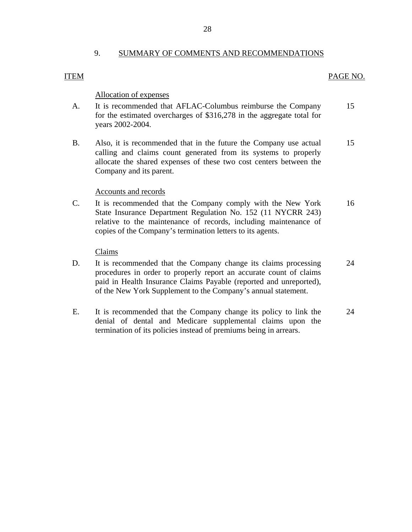#### 9. SUMMARY OF COMMENTS AND RECOMMENDATIONS

#### **ITEM**

#### PAGE NO.

#### Allocation of expenses

- A. It is recommended that AFLAC-Columbus reimburse the Company for the estimated overcharges of \$316,278 in the aggregate total for years 2002-2004. 15
- B. Also, it is recommended that in the future the Company use actual calling and claims count generated from its systems to properly allocate the shared expenses of these two cost centers between the Company and its parent. 15

#### Accounts and records

C. It is recommended that the Company comply with the New York State Insurance Department Regulation No. 152 (11 NYCRR 243) relative to the maintenance of records, including maintenance of copies of the Company's termination letters to its agents. 16

#### Claims

- D. It is recommended that the Company change its claims processing procedures in order to properly report an accurate count of claims paid in Health Insurance Claims Payable (reported and unreported), of the New York Supplement to the Company's annual statement. 24
- E. It is recommended that the Company change its policy to link the denial of dental and Medicare supplemental claims upon the termination of its policies instead of premiums being in arrears. 24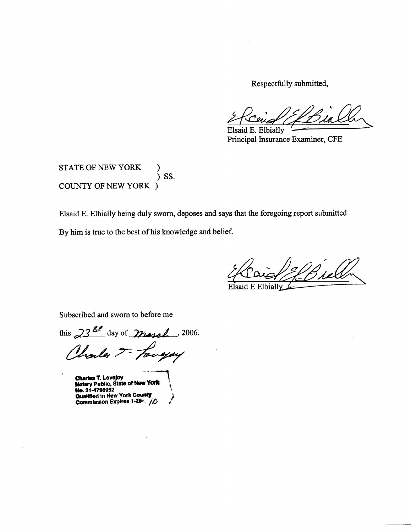Respectfully submitted,

Elsaid E. Elbially Principal Insurance Examiner, CFE

STATE OF NEW YORK  $)$  SS. **COUNTY OF NEW YORK )** 

Elsaid E. Elbially being duly sworn, deposes and says that the foregoing report submitted

By him is true to the best of his knowledge and belief.

Elbially

Subscribed and sworn to before me

this  $23^{R}$  day of march . 2006. Charles J- Longay

Charles T. Lovejoy<br>Notary Public, State of New York<br>No. 31-4798952

Qualified in New York County Commission Expires 1-26-